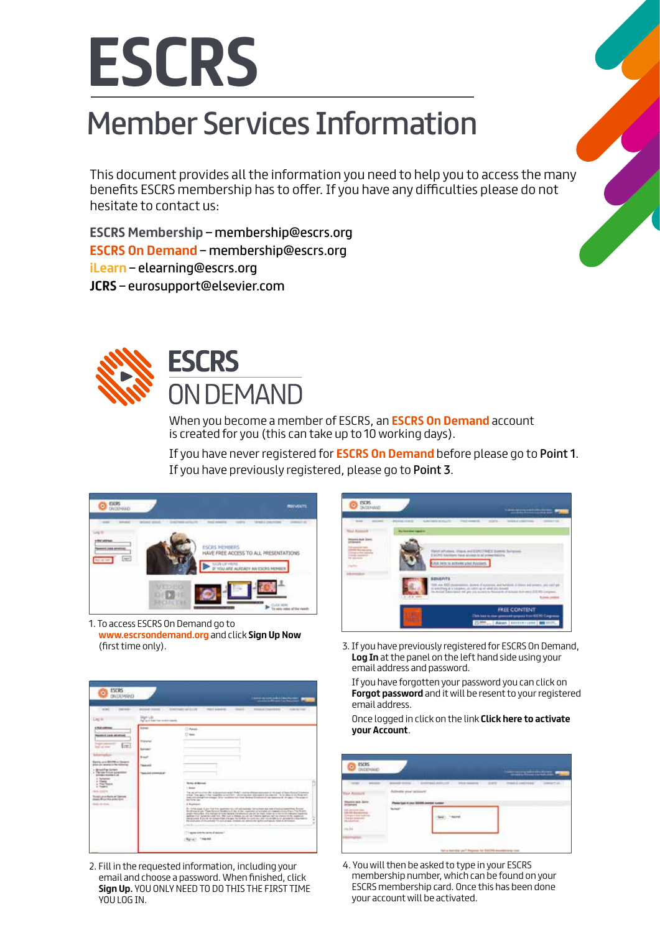

## Member Services Information

This document provides all the information you need to help you to access the many benefits ESCRS membership has to offer. If you have any difficulties please do not hesitate to contact us:

**ESCRS Membership** – membership@escrs.org **ESCRS On Demand** – membership@escrs.org **iLearn** – elearning@escrs.org **JCRS** – eurosupport@elsevier.com



## **ESCRS ON DEMAND**

When you become a member of ESCRS, an **ESCRS On Demand** account is created for you (this can take up to 10 working days).

If you have never registered for **ESCRS On Demand** before please go to Point 1. If you have previously registered, please go to Point 3.

| <b>ESCRS</b><br>٥            |                                              | <b>MICHAEL</b>                                                |
|------------------------------|----------------------------------------------|---------------------------------------------------------------|
|                              | ×<br>Delivera arts<br><b>WIE VEREIG</b>      | <b>Mindal Concreting 11 - Granul 4</b><br><b>RAIL MARK</b>    |
| $\left( \frac{1}{2} \right)$ |                                              | <b>ESCRS HEMBERS</b><br>HAVE FREE ACCESS TO ALL PRESENTATIONS |
|                              |                                              | SIGN UP HERE.<br>3F YOU ARE ALREADY AN ESCAS                  |
|                              | <b>MXDED</b><br>0112011<br><b>PECIFICATE</b> |                                                               |

1. To access ESCRS On Demand go to **www.escrsondemand.org** and click **Sign Up Now** (first time only).



2. Fill in the requested information, including your email and choose a password. When finished, click **Sign Up.** YOU ONLY NEED TO DO THIS THE FIRST TIME YOU LOG IN.



3. If you have previously registered for ESCRS On Demand, **Log In** at the panel on the left hand side using your email address and password.

If you have forgotten your password you can click on **Forgot password** and it will be resent to your registered email address.

Once logged in click on the link **Click here to activate your Account**.

| <b>ESCRS</b><br>٠                          |                                                            |                                                              | <b>TEMPERATURE</b>                                          |
|--------------------------------------------|------------------------------------------------------------|--------------------------------------------------------------|-------------------------------------------------------------|
| <b>HOLE</b><br><b>Council State States</b> | als your powers<br>Phone had in your big with an<br>$\sim$ |                                                              | asset and " between the two same that was control towards." |
|                                            |                                                            | the La Inserting part Proglams for \$30,000-monitorwing from |                                                             |

4. You will then be asked to type in your ESCRS membership number, which can be found on your ESCRS membership card. Once this has been done your account will be activated.